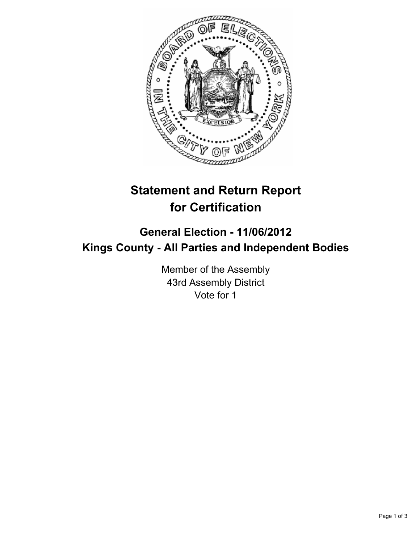

## **Statement and Return Report for Certification**

## **General Election - 11/06/2012 Kings County - All Parties and Independent Bodies**

Member of the Assembly 43rd Assembly District Vote for 1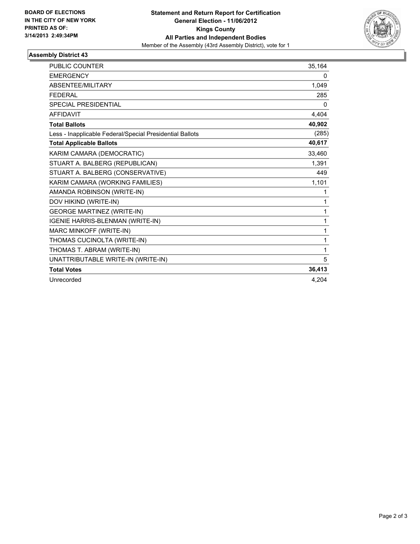

## **Assembly District 43**

| <b>PUBLIC COUNTER</b>                                    | 35.164 |
|----------------------------------------------------------|--------|
| <b>EMERGENCY</b>                                         | 0      |
| <b>ABSENTEE/MILITARY</b>                                 | 1,049  |
| <b>FEDERAL</b>                                           | 285    |
| SPECIAL PRESIDENTIAL                                     | 0      |
| <b>AFFIDAVIT</b>                                         | 4,404  |
| <b>Total Ballots</b>                                     | 40,902 |
| Less - Inapplicable Federal/Special Presidential Ballots | (285)  |
| <b>Total Applicable Ballots</b>                          | 40,617 |
| KARIM CAMARA (DEMOCRATIC)                                | 33,460 |
| STUART A. BALBERG (REPUBLICAN)                           | 1,391  |
| STUART A. BALBERG (CONSERVATIVE)                         | 449    |
| KARIM CAMARA (WORKING FAMILIES)                          | 1,101  |
| AMANDA ROBINSON (WRITE-IN)                               | 1      |
| DOV HIKIND (WRITE-IN)                                    | 1      |
| <b>GEORGE MARTINEZ (WRITE-IN)</b>                        | 1      |
| IGENIE HARRIS-BLENMAN (WRITE-IN)                         | 1      |
| MARC MINKOFF (WRITE-IN)                                  | 1      |
| THOMAS CUCINOLTA (WRITE-IN)                              | 1      |
| THOMAS T. ABRAM (WRITE-IN)                               | 1      |
| UNATTRIBUTABLE WRITE-IN (WRITE-IN)                       | 5      |
| <b>Total Votes</b>                                       | 36,413 |
| Unrecorded                                               | 4.204  |